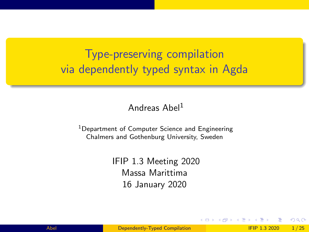# <span id="page-0-0"></span>Type-preserving compilation via dependently typed syntax in Agda

#### Andreas Abel<sup>1</sup>

<sup>1</sup>Department of Computer Science and Engineering Chalmers and Gothenburg University, Sweden

> IFIP 1.3 Meeting 2020 Massa Marittima 16 January 2020

∢ ロ ▶ . ∢ 伺 ▶ . ∢ ヨ ▶ . ∢

 $200$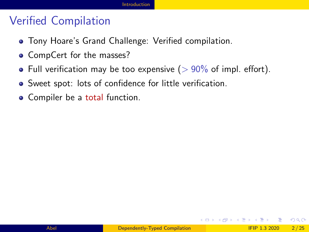#### <span id="page-1-0"></span>Verified Compilation

- Tony Hoare's Grand Challenge: Verified compilation.
- CompCert for the masses?
- Full verification may be too expensive ( $> 90\%$  of impl. effort).
- Sweet spot: lots of confidence for little verification.
- Compiler be a total function.

 $QQQ$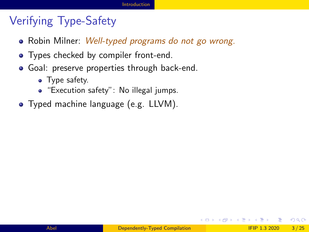## Verifying Type-Safety

- Robin Milner: *Well-typed programs do not go wrong.*
- Types checked by compiler front-end.
- **•** Goal: preserve properties through back-end.
	- Type safety.
	- "Execution safety": No illegal jumps.
- Typed machine language (e.g. LLVM).

 $\Omega$ 

イロト イ押ト イヨト イヨト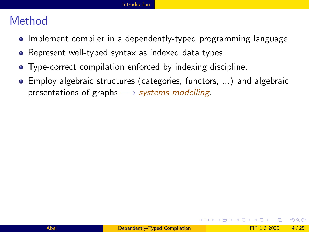#### Method

- Implement compiler in a dependently-typed programming language.
- Represent well-typed syntax as indexed data types.
- Type-correct compilation enforced by indexing discipline.
- Employ algebraic structures (categories, functors, ...) and algebraic presentations of graphs  $\rightarrow$  systems modelling.

 $\Omega$ 

イロト イ押 トイヨト イヨト ニヨ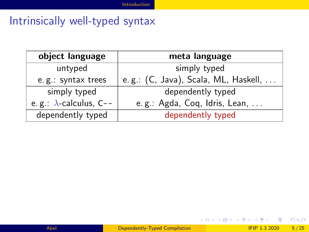## Intrinsically well-typed syntax

| object language                | meta language                        |  |  |
|--------------------------------|--------------------------------------|--|--|
| untyped                        | simply typed                         |  |  |
| e.g.: syntax trees             | e.g.: (C, Java), Scala, ML, Haskell, |  |  |
| simply typed                   | dependently typed                    |  |  |
| e.g.: $\lambda$ -calculus, C-- | e.g.: Agda, Coq, Idris, Lean,        |  |  |
| dependently typed              | dependently typed                    |  |  |

 $298$ 

イロト イ部 トイモ トイモト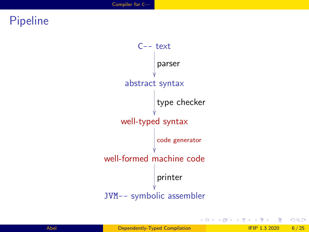## <span id="page-5-0"></span>Pipeline



造

 $298$ 

イロト イ押ト イヨト イヨ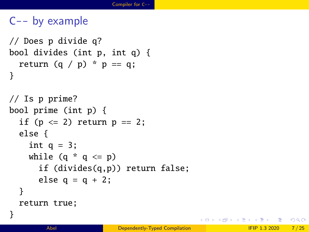```
C-- by example
```

```
// Does p divide q?
bool divides (int p, int q) {
  return (q / p) * p == q;}
```

```
// Is p prime?
bool prime (int p) {
  if (p \leq 2) return p == 2;
  else {
    int q = 3;
    while (a * a \leq p)if (divides(q,p)) return false;
      else q = q + 2;
  }
  return true;
}
```
 $\Omega$ 

 $\left\{ \left( \left| \mathbf{q} \right| \right) \in \mathbb{R} \right\} \times \left\{ \left| \mathbf{q} \right| \right\} \times \left\{ \left| \mathbf{q} \right| \right\}$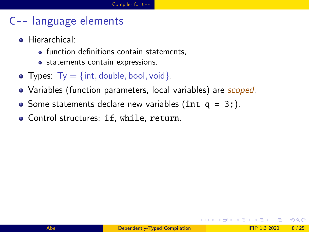### C-- language elements

- **•** Hierarchical:
	- function definitions contain statements,
	- statements contain expressions.
- Types:  $Ty = \{int, double, bool, void\}$ .
- Variables (function parameters, local variables) are *scoped*.
- Some statements declare new variables (int  $q = 3$ ;).
- Control structures: if, while, return.

 $200$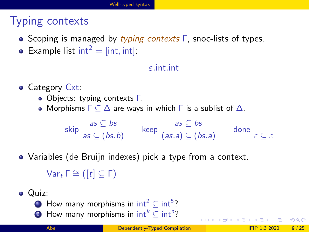## <span id="page-8-0"></span>Typing contexts

- **Scoping is managed by typing contexts Γ, snoc-lists of types.**
- Example list  $int^2 = [int, int]$ :

#### ε.int.int

• Category Cxt:

- Objects: typing contexts Γ.
- Morphisms  $\Gamma \subseteq \Delta$  are ways in which  $\Gamma$  is a sublist of  $\Delta$ .

$$
\mathsf{skip} \; \frac{\mathsf{as} \; \subseteq \mathsf{bs}}{\mathsf{as} \; \subseteq (\mathsf{bs}.\mathsf{b})} \qquad \mathsf{keep} \; \frac{\mathsf{as} \; \subseteq \mathsf{bs}}{(\mathsf{as}.\mathsf{a}) \; \subseteq (\mathsf{bs}.\mathsf{a})} \qquad \mathsf{done} \; \frac{\mathsf{a}}{\varepsilon \; \subseteq \; \varepsilon}
$$

Variables (de Bruijn indexes) pick a type from a context.

 $Var<sub>t</sub> Γ  $\cong$  ( [t]  $\subset$  Γ)$ 

- Quiz:
	- $\textbf{1}$  How many morphisms in int $^2 \subseteq \text{int}^5?$
	- 2 How many morphisms in  $\mathsf{int}^k \subseteq \mathsf{int}^n$ ?

 $\Omega$ 

 $4$  ロ }  $4$   $\overline{m}$  }  $4$   $\overline{m}$  }  $4$   $\overline{m}$  }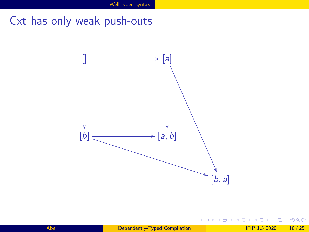Cxt has only weak push-outs



Ξ

**∢ ロ ▶ - ∢ 母 ▶ - ∢ ヨ** 

 $299$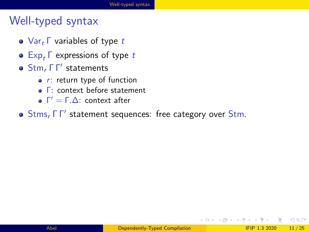## Well-typed syntax

- $\bullet$  Var<sub>t</sub>  $\Gamma$  variables of type t
- $\bullet$  Exp<sub>t</sub>  $\Gamma$  expressions of type t
- $\textsf{Stm}_r \Gamma \Gamma'$  statements
	- $\bullet$  r: return type of function
	- Γ: context before statement
	- $Γ' = Γ.Δ$ : context after
- Stms, ΓΓ' statement sequences: free category over Stm.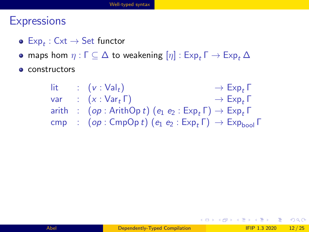## **Expressions**

- $\mathsf{Exp}_t : \mathsf{Cxt} \to \mathsf{Set}$  functor
- maps hom  $\eta : \Gamma \subseteq \Delta$  to weakening  $[\eta] : \text{Exp}_r \Gamma \to \text{Exp}_r \Delta$
- constructors

| lit. | $\left(\mathsf{v}:\mathsf{Val}_t\right)$                                      | $\rightarrow$ Exp, $\Gamma$ |
|------|-------------------------------------------------------------------------------|-----------------------------|
| var  | $\therefore$ $(x : Var_t \Gamma)$                                             | $\rightarrow$ Exp, $\Gamma$ |
|      | arith : $(op: ArithOp t) (e_1 e_2 : Exp_t \Gamma) \rightarrow Exp_t \Gamma$   |                             |
|      | cmp : $(op: CompOp t) (e_1 e_2 : Exp_t \Gamma) \rightarrow Exp_{bool} \Gamma$ |                             |

K ロ ▶ K 個 ▶ K 로 ▶ K 로 ▶ - 로 - K 9 Q @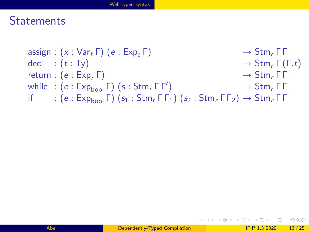#### **Statements**

```
assign : (x : Var_t \Gamma) (e : Exp_t \Gamma) \longrightarrow Stm_t \Gamma \Gammadecl : (t : Ty) \rightarrow Stm<sub>r</sub> \Gamma(\Gamma.t)return : (e : Exp_r \Gamma) \rightarrow Stm_r \Gamma \Gammawhile : (e : Exp_{bool} \Gamma) (s : Stm, \Gamma \Gamma')
                                                                    \rightarrow Stm, Γ Γ
if : (e : Exp_{bool} \Gamma) (s_1 : Sim_r \Gamma \Gamma_1) (s_2 : Sim_r \Gamma \Gamma_2) \rightarrow Sim_r \Gamma \Gamma
```
 $\Omega$ 

イロト イ押 トイヨ トイヨ トーヨ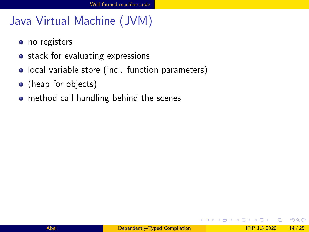## <span id="page-13-0"></span>Java Virtual Machine (JVM)

- no registers
- stack for evaluating expressions
- local variable store (incl. function parameters)
- (heap for objects)
- **•** method call handling behind the scenes

4 D F

**<母 > <目**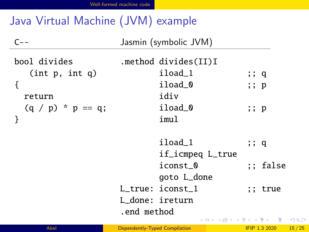# Java Virtual Machine (JVM) example

 $\ddot{\phantom{a}}$ 

| $C - -$                                       |                               | Jasmin (symbolic JVM)                              |                      |       |
|-----------------------------------------------|-------------------------------|----------------------------------------------------|----------------------|-------|
| bool divides<br>(int p, int q)<br>ſ<br>return |                               | .method divides(II)I<br>iload_1<br>iload 0<br>idiv | ;; q<br>;; p         |       |
| $(q / p) * p == q;$<br>}                      |                               | iload 0<br>imul                                    | ;; p                 |       |
|                                               |                               | iload 1<br>if_icmpeq L_true                        | ;; q                 |       |
|                                               |                               | iconst 0<br>goto L_done                            | ;; false             |       |
|                                               |                               | L_true: iconst_1<br>L_done: ireturn                | ;; true              |       |
|                                               | .end method                   |                                                    | メロメメ 倒 メメ きょくきょうきつ   | 200   |
| Abel                                          | Dependently-Typed Compilation |                                                    | <b>IFIP 1.3 2020</b> | 15/25 |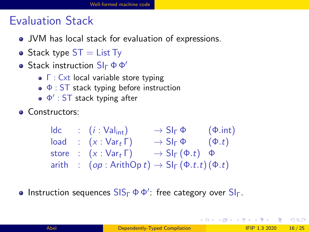## Evaluation Stack

- JVM has local stack for evaluation of expressions.
- Stack type  $ST = List Ty$
- $\bullet$  Stack instruction  $\text{S} \mathsf{I}_\Gamma \Phi \Phi'$ 
	- Γ : Cxt local variable store typing
	- $\bullet$   $\Phi$  : ST stack typing before instruction
	- Φ 0 : ST stack typing after
- Constructors:

| Idc   | : $(i : \text{Val}_{int})$                                               | $\rightarrow \text{SI}_{\Gamma} \Phi$     | $(\Phi.int)$ |
|-------|--------------------------------------------------------------------------|-------------------------------------------|--------------|
| load  | : $(x : \text{Var}_{t} \Gamma)$                                          | $\rightarrow \text{SI}_{\Gamma} \Phi$     | $(\Phi.t)$   |
| store | : $(x : \text{Var}_{t} \Gamma)$                                          | $\rightarrow \text{SI}_{\Gamma} (\Phi.t)$ | $\Phi$       |
| arith | : $(op : Arithmetic) \rightarrow \text{SI}_{\Gamma} (\Phi.t.t) (\Phi.t)$ |                                           |              |

Instruction sequences  $\textsf{SIS}_\Gamma \, \Phi \, \Phi'$ : free category over  $\textsf{SI}_\Gamma$ .

 $200$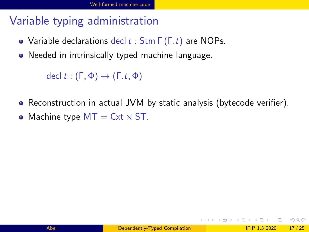## Variable typing administration

- Variable declarations decl  $t :$  Stm  $\Gamma(\Gamma, t)$  are NOPs.
- Needed in intrinsically typed machine language.

decl t:  $(\Gamma, \Phi) \rightarrow (\Gamma, t, \Phi)$ 

- Reconstruction in actual JVM by static analysis (bytecode verifier).
- Machine type  $MT = Cxt \times ST$ .

 $\Omega$ 

イロト イ何 トイヨト イヨト ニヨー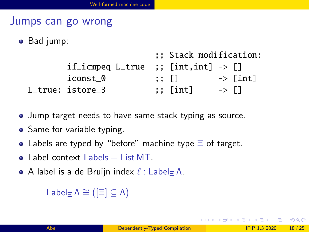#### Jumps can go wrong

• Bad jump:

|                                                |       | ;; Stack modification: |                      |                     |
|------------------------------------------------|-------|------------------------|----------------------|---------------------|
| if_icmpeq L_true ;; [int,int] $\rightarrow$ [] |       |                        |                      |                     |
| iconst_0                                       | ;; [] |                        |                      | $\rightarrow$ [int] |
| L true: istore 3                               |       | $;\;$ [int]            | $\rightarrow$ $\Box$ |                     |

- **•** Jump target needs to have same stack typing as source.
- Same for variable typing.
- Labels are typed by "before" machine type  $\Xi$  of target.
- $\bullet$  Label context Labels  $=$  List MT.
- A label is a de Bruijn index  $\ell$  : Label=  $\Lambda$ .

```
Label\equiv \Lambda \cong (\lceil \Xi \rceil \subseteq \Lambda)
```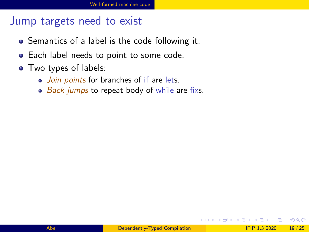#### Jump targets need to exist

- Semantics of a label is the code following it.
- **•** Each label needs to point to some code.
- Two types of labels:
	- Join points for branches of if are lets.
	- $\bullet$  Back jumps to repeat body of while are fixs.

4 D F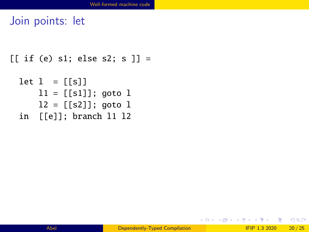#### Join points: let

```
[[ if (e) s1; else s2; s ]] =
```

```
let 1 = [[s]]11 = [[s1]]; goto 112 = [[s2]]; goto 1in [[e]]; branch l1 l2
```
KED KARD KED KED E LORO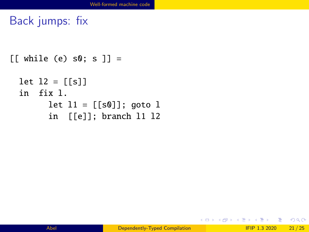Back jumps: fix

```
[[ while (e) s0; s ]] =
 let 12 = [[s]]in fix l.
       let 11 = [[s0]]; goto 1in [[e]]; branch l1 l2
```
K □ ▶ K @ ▶ K 로 ▶ K 로 ▶ \_ 로 \_ K 9 Q @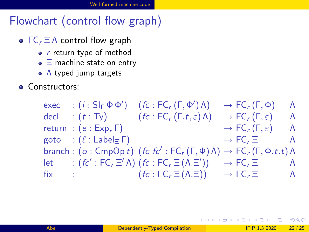## Flowchart (control flow graph)

- $\bullet$  FC<sub>r</sub>  $\Xi$   $\Lambda$  control flow graph
	- $\bullet$  r return type of method
	- $\bullet$   $\equiv$  machine state on entry
	- A typed jump targets
- **Constructors:**

| exec                                                                                                             | : $(i : Sl_{\Gamma} \Phi \Phi')$               | $(fc:FC_r(\Gamma,\Phi')\Lambda)$                                                                                                                  | $\rightarrow$ FC <sub>r</sub> ( $\Gamma$ , $\Phi$ )       | $\Lambda$ |
|------------------------------------------------------------------------------------------------------------------|------------------------------------------------|---------------------------------------------------------------------------------------------------------------------------------------------------|-----------------------------------------------------------|-----------|
| decl                                                                                                             |                                                | : $(t : Ty)$ $(fc : FC_r(\Gamma.t, \varepsilon) \Lambda)$                                                                                         | $\rightarrow$ FC <sub>r</sub> ( $\Gamma, \varepsilon$ )   | Λ         |
|                                                                                                                  | return : $(e: Exp, \Gamma)$                    |                                                                                                                                                   | $\rightarrow$ FC <sub>r</sub> ( $\Gamma, \varepsilon$ ) A |           |
|                                                                                                                  | goto : $(\ell : \mathsf{Label} \equiv \Gamma)$ |                                                                                                                                                   | $\rightarrow$ FC <sub>r</sub> $\Xi$<br>$\Lambda$          |           |
|                                                                                                                  |                                                | branch: $(o: \mathsf{CmpOp}\,t)$ $(\mathsf{fc}\,\mathsf{fc}' : \mathsf{FC}_r(\Gamma, \Phi) \Lambda) \to \mathsf{FC}_r(\Gamma, \Phi.t. t) \Lambda$ |                                                           |           |
| let the set of the set of the set of the set of the set of the set of the set of the set of the set of the set o |                                                | : $f c'$ : FC, $\Xi'$ A) $f c$ : FC, $\Xi$ (A. $\Xi'$ ))                                                                                          | $\rightarrow$ FC <sub>r</sub> $\equiv$                    | $\Lambda$ |
| fix                                                                                                              |                                                | $f_{\mathcal{C}}$ : $F C_r \equiv (\Lambda, \Xi)$                                                                                                 | $\rightarrow$ FC <sub>r</sub> $\Xi$<br>$\Lambda$          |           |

 $QQ$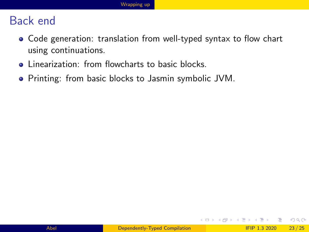#### <span id="page-22-0"></span>Back end

- Code generation: translation from well-typed syntax to flow chart using continuations.
- **EXECUTE:** Linearization: from flowcharts to basic blocks.
- Printing: from basic blocks to Jasmin symbolic JVM.

4 0 F

- ∢ 舟 ▶ → ∃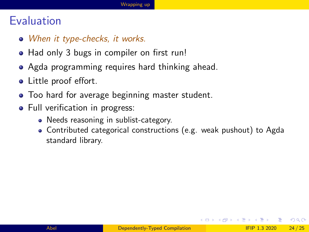#### **Evaluation**

- When it type-checks, it works.
- Had only 3 bugs in compiler on first run!
- Agda programming requires hard thinking ahead.
- Little proof effort.
- Too hard for average beginning master student.
- Full verification in progress:
	- Needs reasoning in sublist-category.
	- Contributed categorical constructions (e.g. weak pushout) to Agda standard library.